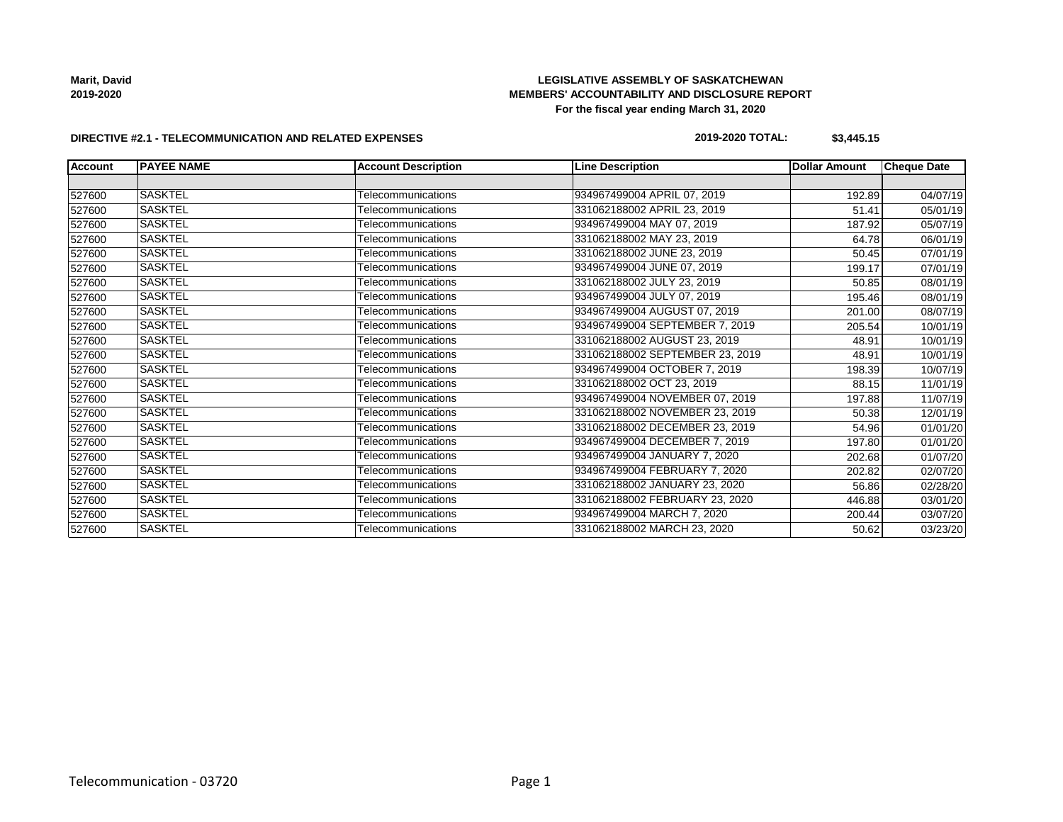**Marit, David 2019-2020**

## **LEGISLATIVE ASSEMBLY OF SASKATCHEWAN MEMBERS' ACCOUNTABILITY AND DISCLOSURE REPORT For the fiscal year ending March 31, 2020**

#### **DIRECTIVE #2.1 - TELECOMMUNICATION AND RELATED EXPENSES**

## **2019-2020 TOTAL: \$3,445.15**

| <b>Account</b> | <b>PAYEE NAME</b> | <b>Account Description</b> | <b>Line Description</b>         | <b>Dollar Amount</b> | <b>Cheque Date</b> |
|----------------|-------------------|----------------------------|---------------------------------|----------------------|--------------------|
|                |                   |                            |                                 |                      |                    |
| 527600         | <b>SASKTEL</b>    | Telecommunications         | 934967499004 APRIL 07, 2019     | 192.89               | 04/07/19           |
| 527600         | <b>SASKTEL</b>    | Telecommunications         | 331062188002 APRIL 23, 2019     | 51.41                | 05/01/19           |
| 527600         | <b>SASKTEL</b>    | Telecommunications         | 934967499004 MAY 07, 2019       | 187.92               | 05/07/19           |
| 527600         | <b>SASKTEL</b>    | Telecommunications         | 331062188002 MAY 23, 2019       | 64.78                | 06/01/19           |
| 527600         | <b>SASKTEL</b>    | Telecommunications         | 331062188002 JUNE 23, 2019      | 50.45                | 07/01/19           |
| 527600         | <b>SASKTEL</b>    | Telecommunications         | 934967499004 JUNE 07, 2019      | 199.17               | 07/01/19           |
| 527600         | <b>SASKTEL</b>    | Telecommunications         | 331062188002 JULY 23, 2019      | 50.85                | 08/01/19           |
| 527600         | <b>SASKTEL</b>    | Telecommunications         | 934967499004 JULY 07, 2019      | 195.46               | 08/01/19           |
| 527600         | <b>SASKTEL</b>    | Telecommunications         | 934967499004 AUGUST 07, 2019    | 201.00               | 08/07/19           |
| 527600         | <b>SASKTEL</b>    | Telecommunications         | 934967499004 SEPTEMBER 7, 2019  | 205.54               | 10/01/19           |
| 527600         | SASKTEL           | Telecommunications         | 331062188002 AUGUST 23, 2019    | 48.91                | 10/01/19           |
| 527600         | <b>SASKTEL</b>    | Telecommunications         | 331062188002 SEPTEMBER 23, 2019 | 48.91                | 10/01/19           |
| 527600         | <b>SASKTEL</b>    | Telecommunications         | 934967499004 OCTOBER 7, 2019    | 198.39               | 10/07/19           |
| 527600         | <b>SASKTEL</b>    | Telecommunications         | 331062188002 OCT 23, 2019       | 88.15                | 11/01/19           |
| 527600         | <b>SASKTEL</b>    | Telecommunications         | 934967499004 NOVEMBER 07, 2019  | 197.88               | 11/07/19           |
| 527600         | <b>SASKTEL</b>    | Telecommunications         | 331062188002 NOVEMBER 23, 2019  | 50.38                | 12/01/19           |
| 527600         | <b>SASKTEL</b>    | Telecommunications         | 331062188002 DECEMBER 23, 2019  | 54.96                | 01/01/20           |
| 527600         | <b>SASKTEL</b>    | Telecommunications         | 934967499004 DECEMBER 7, 2019   | 197.80               | 01/01/20           |
| 527600         | <b>SASKTEL</b>    | Telecommunications         | 934967499004 JANUARY 7, 2020    | 202.68               | 01/07/20           |
| 527600         | <b>SASKTEL</b>    | Telecommunications         | 934967499004 FEBRUARY 7, 2020   | 202.82               | 02/07/20           |
| 527600         | <b>SASKTEL</b>    | Telecommunications         | 331062188002 JANUARY 23, 2020   | 56.86                | 02/28/20           |
| 527600         | <b>SASKTEL</b>    | Telecommunications         | 331062188002 FEBRUARY 23, 2020  | 446.88               | 03/01/20           |
| 527600         | <b>SASKTEL</b>    | Telecommunications         | 934967499004 MARCH 7, 2020      | 200.44               | 03/07/20           |
| 527600         | <b>SASKTEL</b>    | Telecommunications         | 331062188002 MARCH 23, 2020     | 50.62                | 03/23/20           |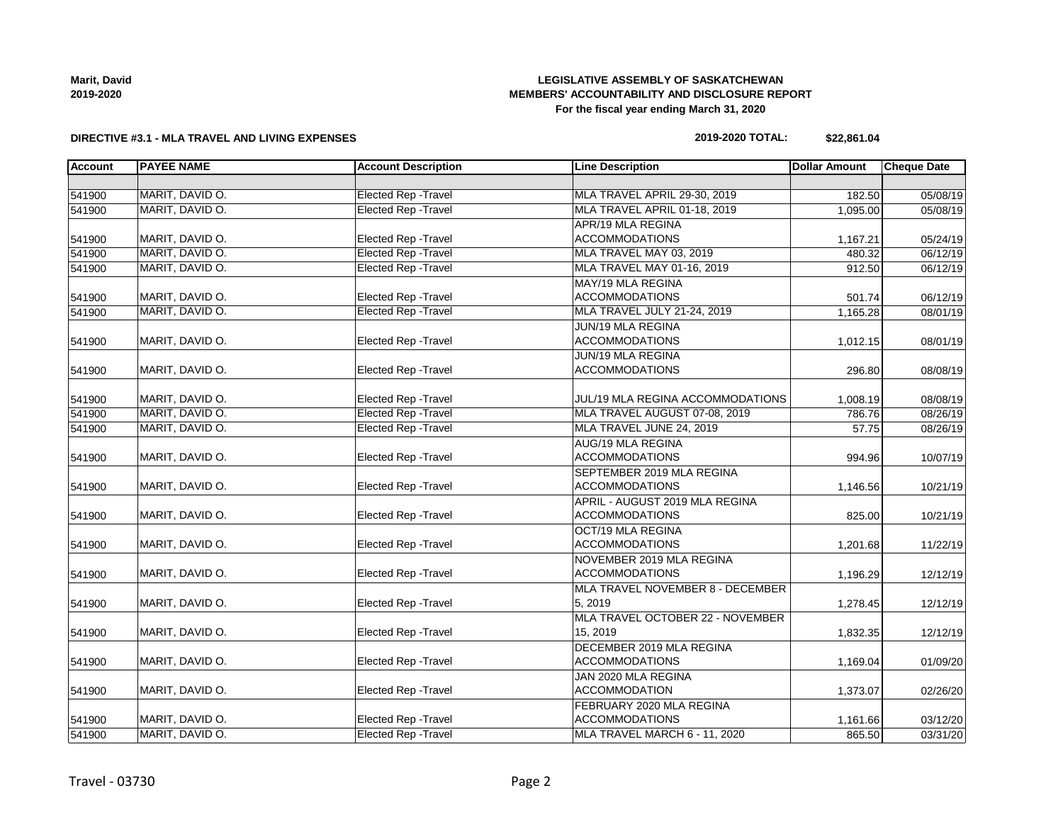| <b>Marit, David</b> |
|---------------------|
| 2019-2020           |

## **LEGISLATIVE ASSEMBLY OF SASKATCHEWAN MEMBERS' ACCOUNTABILITY AND DISCLOSURE REPORT For the fiscal year ending March 31, 2020**

#### **DIRECTIVE #3.1 - MLA TRAVEL AND LIVING EXPENSES**

| <b>Account</b> | <b>PAYEE NAME</b> | <b>Account Description</b>  | <b>Line Description</b>          | <b>Dollar Amount</b> | <b>Cheque Date</b> |
|----------------|-------------------|-----------------------------|----------------------------------|----------------------|--------------------|
|                |                   |                             |                                  |                      |                    |
| 541900         | MARIT, DAVID O.   | <b>Elected Rep - Travel</b> | MLA TRAVEL APRIL 29-30, 2019     | 182.50               | 05/08/19           |
| 541900         | MARIT, DAVID O.   | <b>Elected Rep - Travel</b> | MLA TRAVEL APRIL 01-18, 2019     | 1,095.00             | 05/08/19           |
|                |                   |                             | APR/19 MLA REGINA                |                      |                    |
| 541900         | MARIT, DAVID O.   | <b>Elected Rep - Travel</b> | <b>ACCOMMODATIONS</b>            | 1,167.21             | 05/24/19           |
| 541900         | MARIT, DAVID O.   | <b>Elected Rep - Travel</b> | MLA TRAVEL MAY 03, 2019          | 480.32               | 06/12/19           |
| 541900         | MARIT, DAVID O.   | <b>Elected Rep - Travel</b> | MLA TRAVEL MAY 01-16, 2019       | 912.50               | 06/12/19           |
|                |                   |                             | MAY/19 MLA REGINA                |                      |                    |
| 541900         | MARIT, DAVID O.   | Elected Rep - Travel        | <b>ACCOMMODATIONS</b>            | 501.74               | 06/12/19           |
| 541900         | MARIT, DAVID O.   | <b>Elected Rep - Travel</b> | MLA TRAVEL JULY 21-24, 2019      | 1,165.28             | 08/01/19           |
|                |                   |                             | JUN/19 MLA REGINA                |                      |                    |
| 541900         | MARIT, DAVID O.   | Elected Rep - Travel        | <b>ACCOMMODATIONS</b>            | 1,012.15             | 08/01/19           |
|                |                   |                             | JUN/19 MLA REGINA                |                      |                    |
| 541900         | MARIT, DAVID O.   | Elected Rep - Travel        | <b>ACCOMMODATIONS</b>            | 296.80               | 08/08/19           |
|                |                   |                             |                                  |                      |                    |
| 541900         | MARIT, DAVID O.   | <b>Elected Rep - Travel</b> | JUL/19 MLA REGINA ACCOMMODATIONS | 1,008.19             | 08/08/19           |
| 541900         | MARIT, DAVID O.   | <b>Elected Rep - Travel</b> | MLA TRAVEL AUGUST 07-08, 2019    | 786.76               | 08/26/19           |
| 541900         | MARIT, DAVID O.   | <b>Elected Rep - Travel</b> | MLA TRAVEL JUNE 24, 2019         | 57.75                | 08/26/19           |
|                |                   |                             | AUG/19 MLA REGINA                |                      |                    |
| 541900         | MARIT, DAVID O.   | Elected Rep - Travel        | <b>ACCOMMODATIONS</b>            | 994.96               | 10/07/19           |
|                |                   |                             | SEPTEMBER 2019 MLA REGINA        |                      |                    |
| 541900         | MARIT, DAVID O.   | <b>Elected Rep - Travel</b> | <b>ACCOMMODATIONS</b>            | 1,146.56             | 10/21/19           |
|                |                   |                             | APRIL - AUGUST 2019 MLA REGINA   |                      |                    |
| 541900         | MARIT, DAVID O.   | <b>Elected Rep - Travel</b> | <b>ACCOMMODATIONS</b>            | 825.00               | 10/21/19           |
|                |                   |                             | OCT/19 MLA REGINA                |                      |                    |
| 541900         | MARIT, DAVID O.   | Elected Rep - Travel        | <b>ACCOMMODATIONS</b>            | 1,201.68             | 11/22/19           |
|                |                   |                             | NOVEMBER 2019 MLA REGINA         |                      |                    |
| 541900         | MARIT, DAVID O.   | <b>Elected Rep - Travel</b> | <b>ACCOMMODATIONS</b>            | 1,196.29             | 12/12/19           |
|                |                   |                             | MLA TRAVEL NOVEMBER 8 - DECEMBER |                      |                    |
| 541900         | MARIT, DAVID O.   | <b>Elected Rep - Travel</b> | 5.2019                           | 1,278.45             | 12/12/19           |
|                |                   |                             | MLA TRAVEL OCTOBER 22 - NOVEMBER |                      |                    |
| 541900         | MARIT, DAVID O.   | Elected Rep - Travel        | 15, 2019                         | 1,832.35             | 12/12/19           |
|                |                   |                             | DECEMBER 2019 MLA REGINA         |                      |                    |
| 541900         | MARIT, DAVID O.   | Elected Rep - Travel        | <b>ACCOMMODATIONS</b>            | 1,169.04             | 01/09/20           |
|                |                   |                             | JAN 2020 MLA REGINA              |                      |                    |
| 541900         | MARIT, DAVID O.   | <b>Elected Rep - Travel</b> | <b>ACCOMMODATION</b>             | 1,373.07             | 02/26/20           |
|                |                   |                             | FEBRUARY 2020 MLA REGINA         |                      |                    |
| 541900         | MARIT, DAVID O.   | Elected Rep - Travel        | <b>ACCOMMODATIONS</b>            | 1,161.66             | 03/12/20           |
| 541900         | MARIT, DAVID O.   | <b>Elected Rep - Travel</b> | MLA TRAVEL MARCH 6 - 11, 2020    | 865.50               | 03/31/20           |

**2019-2020 TOTAL: \$22,861.04**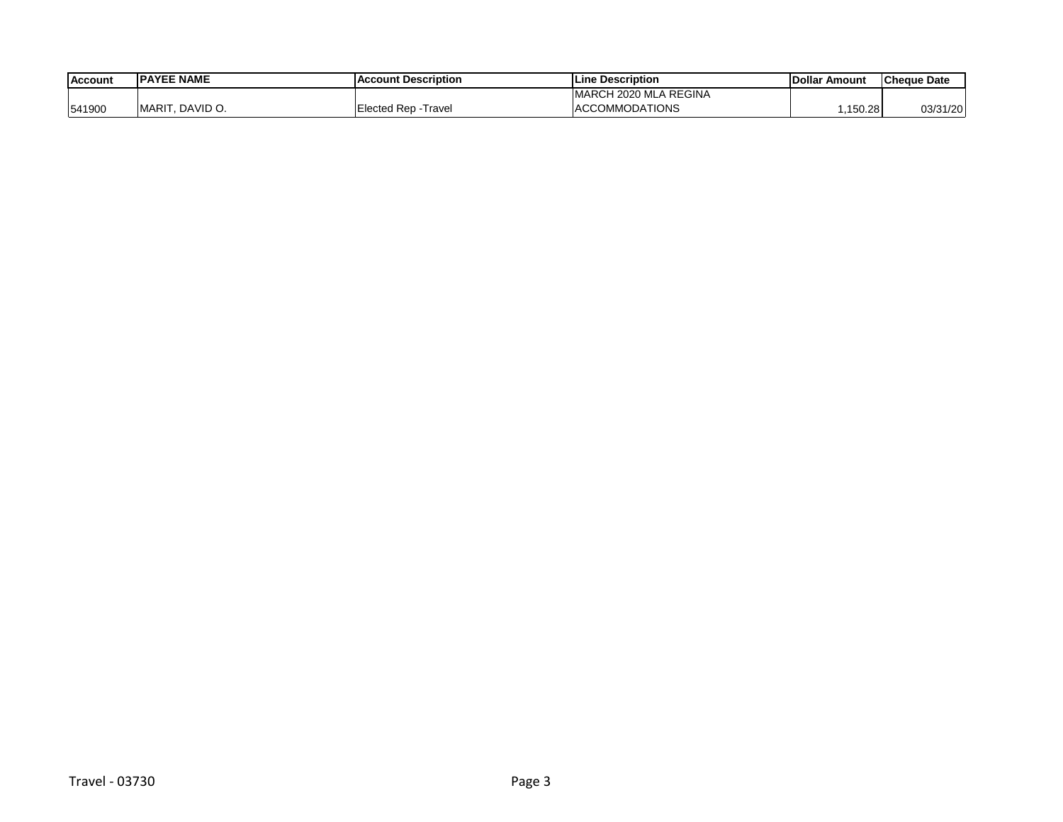| <b>Account</b> | <b>IPAYEE NAME</b> | ccount Description_<br><b>AC</b> | <b>ILine Description</b> | <b>IDollar Amount</b> | <b>ICheque Date</b> |
|----------------|--------------------|----------------------------------|--------------------------|-----------------------|---------------------|
|                |                    |                                  | IMARCH 2020 MLA REGINA   |                       |                     |
| 541900         | IMARIT. DAVID O.   | Elected Rep<br>ravel             | <b>ACCOMMODATIONS</b>    | .150.28               | 03/31/20            |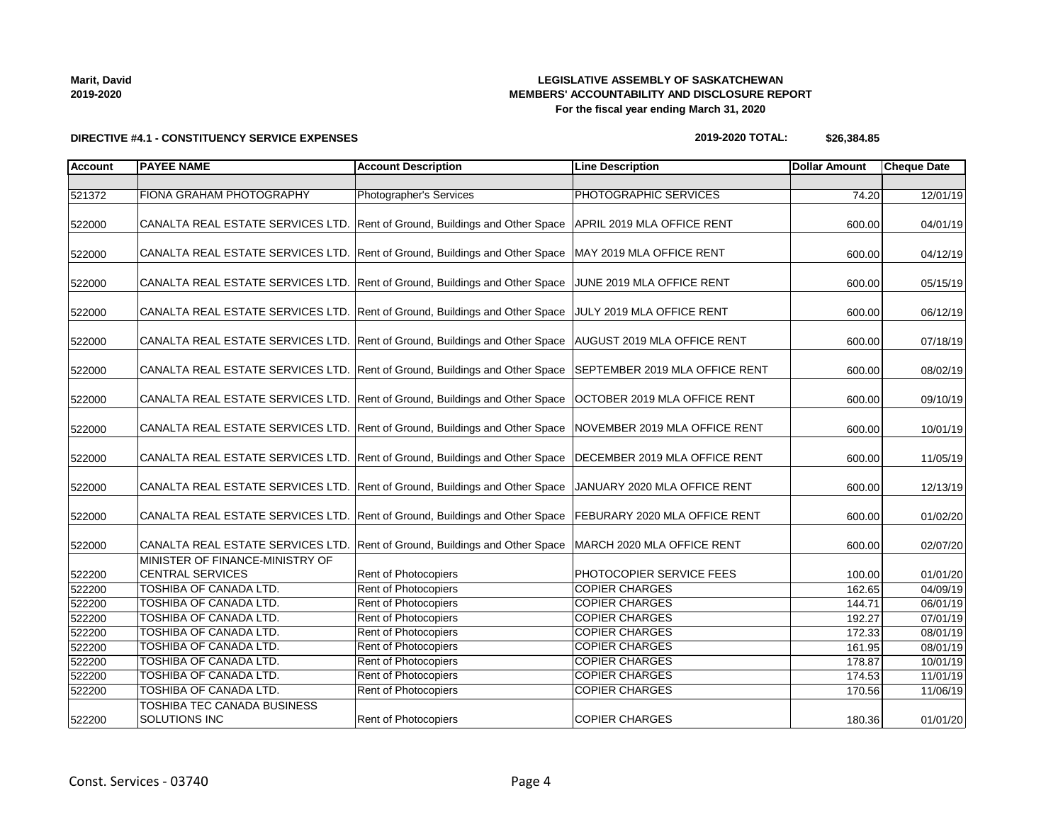522200

522200

**Marit, David 2019-2020**

#### **LEGISLATIVE ASSEMBLY OF SASKATCHEWAN MEMBERS' ACCOUNTABILITY AND DISCLOSURE REPORT For the fiscal year ending March 31, 2020**

**2019-2020 TOTAL: \$26,384.85**

| <b>Account</b> | <b>PAYEE NAME</b>                                          | <b>Account Description</b>                                                                                | <b>Line Description</b>            | <b>Dollar Amount</b> | <b>Cheque Date</b> |
|----------------|------------------------------------------------------------|-----------------------------------------------------------------------------------------------------------|------------------------------------|----------------------|--------------------|
|                |                                                            |                                                                                                           |                                    |                      |                    |
| 521372         | <b>FIONA GRAHAM PHOTOGRAPHY</b>                            | Photographer's Services                                                                                   | PHOTOGRAPHIC SERVICES              | 74.20                | 12/01/19           |
|                |                                                            |                                                                                                           |                                    |                      |                    |
| 522000         |                                                            | CANALTA REAL ESTATE SERVICES LTD. Rent of Ground, Buildings and Other Space   APRIL 2019 MLA OFFICE RENT  |                                    | 600.00               | 04/01/19           |
| 522000         |                                                            | CANALTA REAL ESTATE SERVICES LTD. Rent of Ground, Buildings and Other Space                               | MAY 2019 MLA OFFICE RENT           | 600.00               | 04/12/19           |
| 522000         |                                                            | CANALTA REAL ESTATE SERVICES LTD. Rent of Ground, Buildings and Other Space JUNE 2019 MLA OFFICE RENT     |                                    | 600.00               | 05/15/19           |
| 522000         |                                                            | CANALTA REAL ESTATE SERVICES LTD. Rent of Ground, Buildings and Other Space JULY 2019 MLA OFFICE RENT     |                                    | 600.00               | 06/12/19           |
| 522000         |                                                            | CANALTA REAL ESTATE SERVICES LTD. Rent of Ground, Buildings and Other Space                               | <b>AUGUST 2019 MLA OFFICE RENT</b> | 600.00               | 07/18/19           |
|                |                                                            |                                                                                                           |                                    |                      |                    |
| 522000         |                                                            | CANALTA REAL ESTATE SERVICES LTD. Rent of Ground, Buildings and Other Space                               | SEPTEMBER 2019 MLA OFFICE RENT     | 600.00               | 08/02/19           |
| 522000         |                                                            | CANALTA REAL ESTATE SERVICES LTD. Rent of Ground, Buildings and Other Space                               | OCTOBER 2019 MLA OFFICE RENT       | 600.00               | 09/10/19           |
| 522000         |                                                            | CANALTA REAL ESTATE SERVICES LTD. Rent of Ground, Buildings and Other Space                               | NOVEMBER 2019 MLA OFFICE RENT      | 600.00               | 10/01/19           |
| 522000         |                                                            | CANALTA REAL ESTATE SERVICES LTD. Rent of Ground, Buildings and Other Space                               | DECEMBER 2019 MLA OFFICE RENT      | 600.00               | 11/05/19           |
| 522000         |                                                            | CANALTA REAL ESTATE SERVICES LTD. Rent of Ground, Buildings and Other Space  JANUARY 2020 MLA OFFICE RENT |                                    | 600.00               | 12/13/19           |
| 522000         |                                                            | CANALTA REAL ESTATE SERVICES LTD. Rent of Ground, Buildings and Other Space                               | FEBURARY 2020 MLA OFFICE RENT      | 600.00               | 01/02/20           |
| 522000         | CANALTA REAL ESTATE SERVICES LTD.                          | Rent of Ground, Buildings and Other Space                                                                 | MARCH 2020 MLA OFFICE RENT         | 600.00               | 02/07/20           |
| 522200         | MINISTER OF FINANCE-MINISTRY OF<br><b>CENTRAL SERVICES</b> | Rent of Photocopiers                                                                                      | PHOTOCOPIER SERVICE FEES           | 100.00               | 01/01/20           |
| 522200         | <b>TOSHIBA OF CANADA LTD.</b>                              | <b>Rent of Photocopiers</b>                                                                               | <b>COPIER CHARGES</b>              | 162.65               | 04/09/19           |
| 522200         | TOSHIBA OF CANADA LTD.                                     | <b>Rent of Photocopiers</b>                                                                               | <b>COPIER CHARGES</b>              | 144.71               | 06/01/19           |
| 522200         | TOSHIBA OF CANADA LTD.                                     | Rent of Photocopiers                                                                                      | <b>COPIER CHARGES</b>              | 192.27               | 07/01/19           |
| 522200         | TOSHIBA OF CANADA LTD.                                     | Rent of Photocopiers                                                                                      | <b>COPIER CHARGES</b>              | 172.33               | 08/01/19           |
| 522200         | TOSHIBA OF CANADA LTD.                                     | Rent of Photocopiers                                                                                      | <b>COPIER CHARGES</b>              | 161.95               | 08/01/19           |
| 522200         | TOSHIBA OF CANADA LTD.                                     | <b>Rent of Photocopiers</b>                                                                               | <b>COPIER CHARGES</b>              | 178.87               | 10/01/19           |

# **DIRECTIVE #4.1 - CONSTITUENCY SERVICE EXPENSES**

TOSHIBA TEC CANADA BUSINESS

SOLUTIONS INC **Rent of Photocopiers** COPIER CHARGES 2008 180.36 01/01/20

522200 TOSHIBA OF CANADA LTD. Rent of Photocopiers COPIER CHARGES 174.53 11/01/19<br>522200 TOSHIBA OF CANADA LTD. Rent of Photocopiers COPIER CHARGES 170.56 11/06/19 522200 TOSHIBA OF CANADA LTD. Rent of Photocopiers COPIER CHARGES 170.56 11/06/19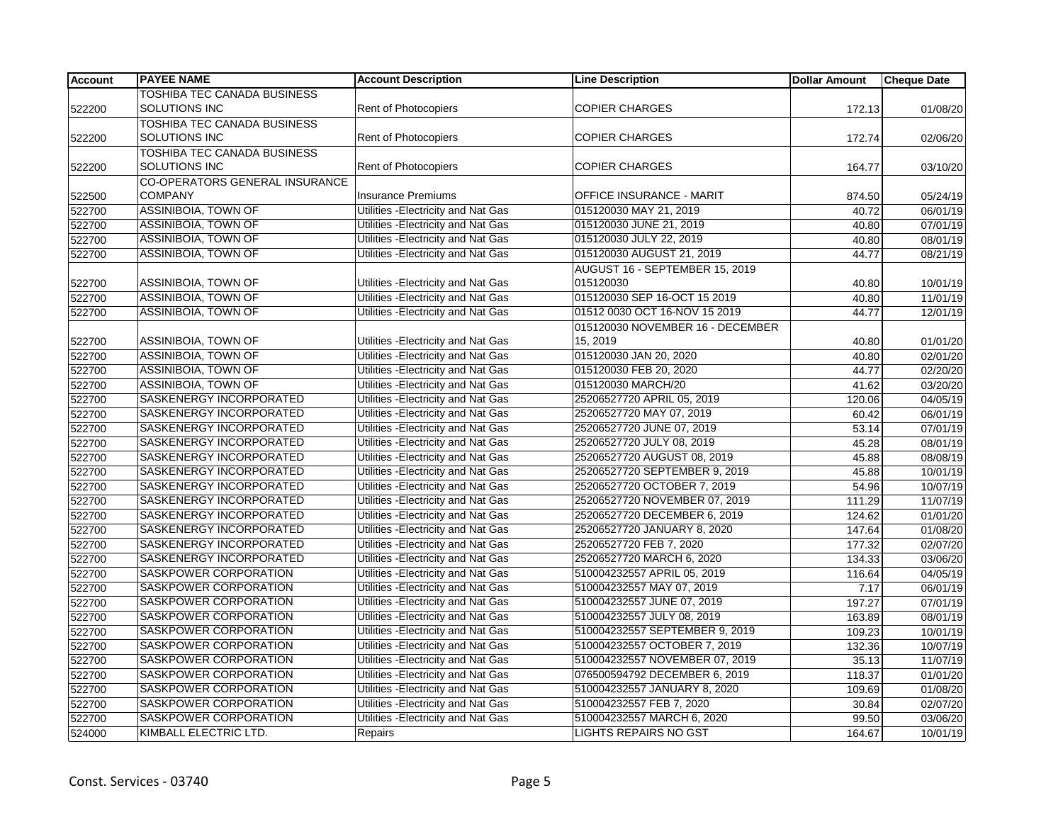| <b>Account</b> | <b>PAYEE NAME</b>                     | <b>Account Description</b>          | <b>Line Description</b>          | <b>Dollar Amount</b> | <b>Cheque Date</b> |
|----------------|---------------------------------------|-------------------------------------|----------------------------------|----------------------|--------------------|
|                | <b>TOSHIBA TEC CANADA BUSINESS</b>    |                                     |                                  |                      |                    |
| 522200         | <b>SOLUTIONS INC</b>                  | Rent of Photocopiers                | <b>COPIER CHARGES</b>            | 172.13               | 01/08/20           |
|                | <b>TOSHIBA TEC CANADA BUSINESS</b>    |                                     |                                  |                      |                    |
| 522200         | <b>SOLUTIONS INC</b>                  | Rent of Photocopiers                | <b>COPIER CHARGES</b>            | 172.74               | 02/06/20           |
|                | TOSHIBA TEC CANADA BUSINESS           |                                     |                                  |                      |                    |
| 522200         | <b>SOLUTIONS INC</b>                  | <b>Rent of Photocopiers</b>         | <b>COPIER CHARGES</b>            | 164.77               | 03/10/20           |
|                | <b>CO-OPERATORS GENERAL INSURANCE</b> |                                     |                                  |                      |                    |
| 522500         | <b>COMPANY</b>                        | <b>Insurance Premiums</b>           | OFFICE INSURANCE - MARIT         | 874.50               | 05/24/19           |
| 522700         | <b>ASSINIBOIA, TOWN OF</b>            | Utilities - Electricity and Nat Gas | 015120030 MAY 21, 2019           | 40.72                | 06/01/19           |
| 522700         | <b>ASSINIBOIA, TOWN OF</b>            | Utilities - Electricity and Nat Gas | 015120030 JUNE 21, 2019          | 40.80                | 07/01/19           |
| 522700         | <b>ASSINIBOIA, TOWN OF</b>            | Utilities - Electricity and Nat Gas | 015120030 JULY 22, 2019          | 40.80                | 08/01/19           |
| 522700         | <b>ASSINIBOIA, TOWN OF</b>            | Utilities - Electricity and Nat Gas | 015120030 AUGUST 21, 2019        | 44.77                | 08/21/19           |
|                |                                       |                                     | AUGUST 16 - SEPTEMBER 15, 2019   |                      |                    |
| 522700         | ASSINIBOIA, TOWN OF                   | Utilities - Electricity and Nat Gas | 015120030                        | 40.80                | 10/01/19           |
| 522700         | <b>ASSINIBOIA, TOWN OF</b>            | Utilities - Electricity and Nat Gas | 015120030 SEP 16-OCT 15 2019     | 40.80                | 11/01/19           |
| 522700         | <b>ASSINIBOIA, TOWN OF</b>            | Utilities - Electricity and Nat Gas | 01512 0030 OCT 16-NOV 15 2019    | 44.77                | 12/01/19           |
|                |                                       |                                     | 015120030 NOVEMBER 16 - DECEMBER |                      |                    |
| 522700         | ASSINIBOIA, TOWN OF                   | Utilities - Electricity and Nat Gas | 15, 2019                         | 40.80                | 01/01/20           |
| 522700         | ASSINIBOIA, TOWN OF                   | Utilities - Electricity and Nat Gas | 015120030 JAN 20, 2020           | 40.80                | 02/01/20           |
| 522700         | <b>ASSINIBOIA, TOWN OF</b>            | Utilities - Electricity and Nat Gas | 015120030 FEB 20, 2020           | 44.77                | 02/20/20           |
| 522700         | <b>ASSINIBOIA, TOWN OF</b>            | Utilities - Electricity and Nat Gas | 015120030 MARCH/20               | 41.62                | 03/20/20           |
| 522700         | SASKENERGY INCORPORATED               | Utilities - Electricity and Nat Gas | 25206527720 APRIL 05, 2019       | 120.06               | 04/05/19           |
| 522700         | SASKENERGY INCORPORATED               | Utilities - Electricity and Nat Gas | 25206527720 MAY 07, 2019         | 60.42                | 06/01/19           |
| 522700         | SASKENERGY INCORPORATED               | Utilities - Electricity and Nat Gas | 25206527720 JUNE 07, 2019        | 53.14                | 07/01/19           |
| 522700         | SASKENERGY INCORPORATED               | Utilities - Electricity and Nat Gas | 25206527720 JULY 08, 2019        | 45.28                | 08/01/19           |
| 522700         | SASKENERGY INCORPORATED               | Utilities - Electricity and Nat Gas | 25206527720 AUGUST 08, 2019      | 45.88                | 08/08/19           |
| 522700         | <b>SASKENERGY INCORPORATED</b>        | Utilities - Electricity and Nat Gas | 25206527720 SEPTEMBER 9, 2019    | 45.88                | 10/01/19           |
| 522700         | SASKENERGY INCORPORATED               | Utilities - Electricity and Nat Gas | 25206527720 OCTOBER 7, 2019      | 54.96                | 10/07/19           |
| 522700         | SASKENERGY INCORPORATED               | Utilities - Electricity and Nat Gas | 25206527720 NOVEMBER 07, 2019    | 111.29               | 11/07/19           |
| 522700         | SASKENERGY INCORPORATED               | Utilities - Electricity and Nat Gas | 25206527720 DECEMBER 6, 2019     | 124.62               | 01/01/20           |
| 522700         | SASKENERGY INCORPORATED               | Utilities - Electricity and Nat Gas | 25206527720 JANUARY 8, 2020      | 147.64               | 01/08/20           |
| 522700         | SASKENERGY INCORPORATED               | Utilities - Electricity and Nat Gas | 25206527720 FEB 7, 2020          | 177.32               | 02/07/20           |
| 522700         | SASKENERGY INCORPORATED               | Utilities - Electricity and Nat Gas | 25206527720 MARCH 6, 2020        | 134.33               | 03/06/20           |
| 522700         | SASKPOWER CORPORATION                 | Utilities - Electricity and Nat Gas | 510004232557 APRIL 05, 2019      | 116.64               | 04/05/19           |
| 522700         | SASKPOWER CORPORATION                 | Utilities - Electricity and Nat Gas | 510004232557 MAY 07, 2019        | 7.17                 | 06/01/19           |
| 522700         | SASKPOWER CORPORATION                 | Utilities - Electricity and Nat Gas | 510004232557 JUNE 07, 2019       | 197.27               | 07/01/19           |
| 522700         | SASKPOWER CORPORATION                 | Utilities - Electricity and Nat Gas | 510004232557 JULY 08, 2019       | 163.89               | 08/01/19           |
| 522700         | SASKPOWER CORPORATION                 | Utilities - Electricity and Nat Gas | 510004232557 SEPTEMBER 9, 2019   | 109.23               | 10/01/19           |
| 522700         | SASKPOWER CORPORATION                 | Utilities - Electricity and Nat Gas | 510004232557 OCTOBER 7, 2019     | 132.36               | 10/07/19           |
| 522700         | SASKPOWER CORPORATION                 | Utilities - Electricity and Nat Gas | 510004232557 NOVEMBER 07, 2019   | 35.13                | 11/07/19           |
| 522700         | SASKPOWER CORPORATION                 | Utilities - Electricity and Nat Gas | 076500594792 DECEMBER 6, 2019    | 118.37               | 01/01/20           |
| 522700         | SASKPOWER CORPORATION                 | Utilities - Electricity and Nat Gas | 510004232557 JANUARY 8, 2020     | 109.69               | 01/08/20           |
| 522700         | SASKPOWER CORPORATION                 | Utilities - Electricity and Nat Gas | 510004232557 FEB 7, 2020         | 30.84                | 02/07/20           |
| 522700         | SASKPOWER CORPORATION                 | Utilities - Electricity and Nat Gas | 510004232557 MARCH 6, 2020       | 99.50                | 03/06/20           |
| 524000         | KIMBALL ELECTRIC LTD.                 | Repairs                             | <b>LIGHTS REPAIRS NO GST</b>     | 164.67               | 10/01/19           |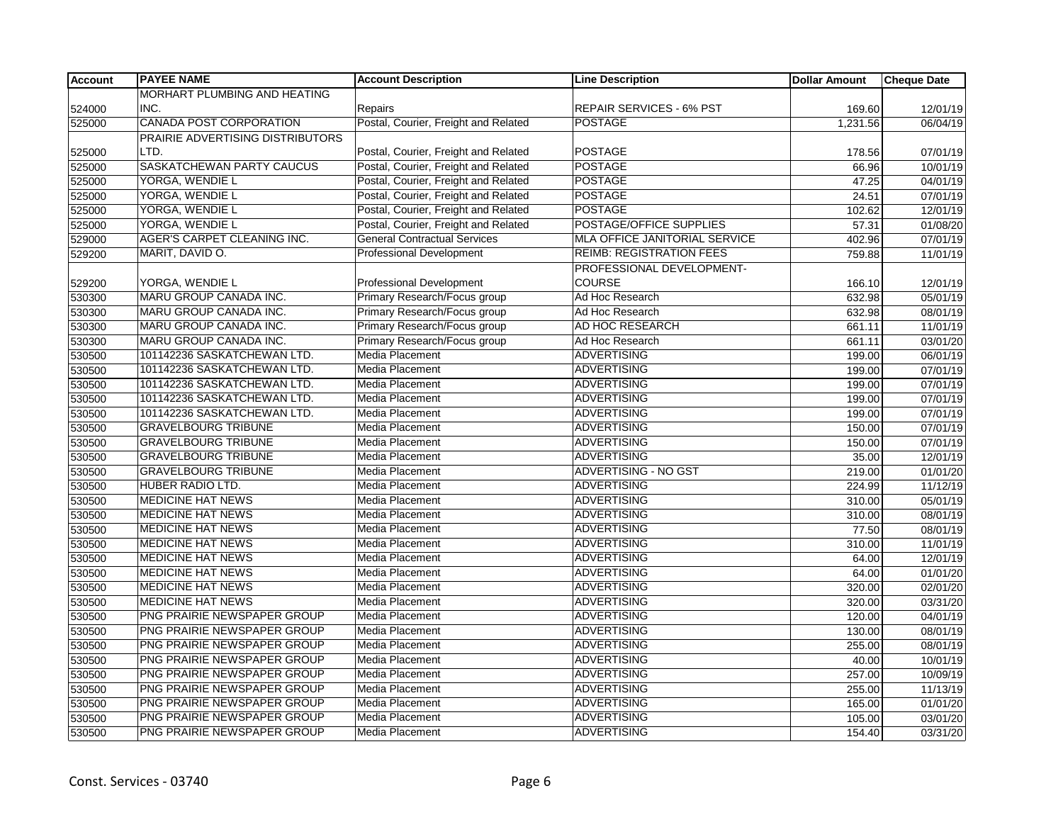| <b>Account</b> | <b>PAYEE NAME</b>                   | <b>Account Description</b>           | <b>Line Description</b>         | <b>Dollar Amount</b> | <b>Cheque Date</b> |
|----------------|-------------------------------------|--------------------------------------|---------------------------------|----------------------|--------------------|
|                | <b>MORHART PLUMBING AND HEATING</b> |                                      |                                 |                      |                    |
| 524000         | INC.                                | Repairs                              | <b>REPAIR SERVICES - 6% PST</b> | 169.60               | 12/01/19           |
| 525000         | <b>CANADA POST CORPORATION</b>      | Postal, Courier, Freight and Related | <b>POSTAGE</b>                  | 1,231.56             | 06/04/19           |
|                | PRAIRIE ADVERTISING DISTRIBUTORS    |                                      |                                 |                      |                    |
| 525000         | LTD.                                | Postal, Courier, Freight and Related | <b>POSTAGE</b>                  | 178.56               | 07/01/19           |
| 525000         | SASKATCHEWAN PARTY CAUCUS           | Postal, Courier, Freight and Related | <b>POSTAGE</b>                  | 66.96                | 10/01/19           |
| 525000         | YORGA, WENDIE L                     | Postal, Courier, Freight and Related | <b>POSTAGE</b>                  | 47.25                | 04/01/19           |
| 525000         | YORGA, WENDIE L                     | Postal, Courier, Freight and Related | <b>POSTAGE</b>                  | 24.51                | 07/01/19           |
| 525000         | YORGA, WENDIE L                     | Postal, Courier, Freight and Related | <b>POSTAGE</b>                  | 102.62               | 12/01/19           |
| 525000         | YORGA, WENDIE L                     | Postal, Courier, Freight and Related | POSTAGE/OFFICE SUPPLIES         | 57.31                | 01/08/20           |
| 529000         | AGER'S CARPET CLEANING INC.         | <b>General Contractual Services</b>  | MLA OFFICE JANITORIAL SERVICE   | 402.96               | 07/01/19           |
| 529200         | MARIT, DAVID O.                     | <b>Professional Development</b>      | <b>REIMB: REGISTRATION FEES</b> | 759.88               | 11/01/19           |
|                |                                     |                                      | PROFESSIONAL DEVELOPMENT-       |                      |                    |
| 529200         | YORGA, WENDIE L                     | <b>Professional Development</b>      | <b>COURSE</b>                   | 166.10               | 12/01/19           |
| 530300         | <b>MARU GROUP CANADA INC.</b>       | Primary Research/Focus group         | Ad Hoc Research                 | 632.98               | 05/01/19           |
| 530300         | MARU GROUP CANADA INC.              | Primary Research/Focus group         | Ad Hoc Research                 | 632.98               | 08/01/19           |
| 530300         | MARU GROUP CANADA INC.              | Primary Research/Focus group         | AD HOC RESEARCH                 | 661.11               | 11/01/19           |
| 530300         | MARU GROUP CANADA INC.              | Primary Research/Focus group         | Ad Hoc Research                 | 661.11               | 03/01/20           |
| 530500         | 101142236 SASKATCHEWAN LTD.         | <b>Media Placement</b>               | <b>ADVERTISING</b>              | 199.00               | 06/01/19           |
| 530500         | 101142236 SASKATCHEWAN LTD.         | <b>Media Placement</b>               | <b>ADVERTISING</b>              | 199.00               | 07/01/19           |
| 530500         | 101142236 SASKATCHEWAN LTD.         | <b>Media Placement</b>               | <b>ADVERTISING</b>              | 199.00               | 07/01/19           |
| 530500         | 101142236 SASKATCHEWAN LTD.         | Media Placement                      | <b>ADVERTISING</b>              | 199.00               | 07/01/19           |
| 530500         | 101142236 SASKATCHEWAN LTD.         | <b>Media Placement</b>               | <b>ADVERTISING</b>              | 199.00               | 07/01/19           |
| 530500         | <b>GRAVELBOURG TRIBUNE</b>          | Media Placement                      | <b>ADVERTISING</b>              | 150.00               | 07/01/19           |
| 530500         | <b>GRAVELBOURG TRIBUNE</b>          | <b>Media Placement</b>               | <b>ADVERTISING</b>              | 150.00               | 07/01/19           |
| 530500         | <b>GRAVELBOURG TRIBUNE</b>          | Media Placement                      | <b>ADVERTISING</b>              | 35.00                | 12/01/19           |
| 530500         | <b>GRAVELBOURG TRIBUNE</b>          | <b>Media Placement</b>               | <b>ADVERTISING - NO GST</b>     | 219.00               | 01/01/20           |
| 530500         | <b>HUBER RADIO LTD.</b>             | <b>Media Placement</b>               | <b>ADVERTISING</b>              | 224.99               | 11/12/19           |
| 530500         | <b>MEDICINE HAT NEWS</b>            | <b>Media Placement</b>               | <b>ADVERTISING</b>              | 310.00               | 05/01/19           |
| 530500         | <b>MEDICINE HAT NEWS</b>            | Media Placement                      | <b>ADVERTISING</b>              | 310.00               | 08/01/19           |
| 530500         | <b>MEDICINE HAT NEWS</b>            | <b>Media Placement</b>               | <b>ADVERTISING</b>              | 77.50                | 08/01/19           |
| 530500         | <b>MEDICINE HAT NEWS</b>            | Media Placement                      | <b>ADVERTISING</b>              | 310.00               | 11/01/19           |
| 530500         | <b>MEDICINE HAT NEWS</b>            | <b>Media Placement</b>               | <b>ADVERTISING</b>              | 64.00                | 12/01/19           |
| 530500         | <b>MEDICINE HAT NEWS</b>            | <b>Media Placement</b>               | <b>ADVERTISING</b>              | 64.00                | 01/01/20           |
| 530500         | <b>MEDICINE HAT NEWS</b>            | Media Placement                      | <b>ADVERTISING</b>              | 320.00               | 02/01/20           |
| 530500         | <b>MEDICINE HAT NEWS</b>            | <b>Media Placement</b>               | <b>ADVERTISING</b>              | 320.00               | 03/31/20           |
| 530500         | PNG PRAIRIE NEWSPAPER GROUP         | <b>Media Placement</b>               | <b>ADVERTISING</b>              | 120.00               | 04/01/19           |
| 530500         | PNG PRAIRIE NEWSPAPER GROUP         | Media Placement                      | <b>ADVERTISING</b>              | 130.00               | 08/01/19           |
| 530500         | PNG PRAIRIE NEWSPAPER GROUP         | <b>Media Placement</b>               | <b>ADVERTISING</b>              | 255.00               | 08/01/19           |
| 530500         | PNG PRAIRIE NEWSPAPER GROUP         | Media Placement                      | <b>ADVERTISING</b>              | 40.00                | 10/01/19           |
| 530500         | PNG PRAIRIE NEWSPAPER GROUP         | Media Placement                      | <b>ADVERTISING</b>              | 257.00               | 10/09/19           |
| 530500         | PNG PRAIRIE NEWSPAPER GROUP         | <b>Media Placement</b>               | <b>ADVERTISING</b>              | 255.00               | 11/13/19           |
| 530500         | PNG PRAIRIE NEWSPAPER GROUP         | Media Placement                      | <b>ADVERTISING</b>              | 165.00               | 01/01/20           |
| 530500         | PNG PRAIRIE NEWSPAPER GROUP         | Media Placement                      | <b>ADVERTISING</b>              | 105.00               | 03/01/20           |
| 530500         | <b>PNG PRAIRIE NEWSPAPER GROUP</b>  | <b>Media Placement</b>               | <b>ADVERTISING</b>              | 154.40               | 03/31/20           |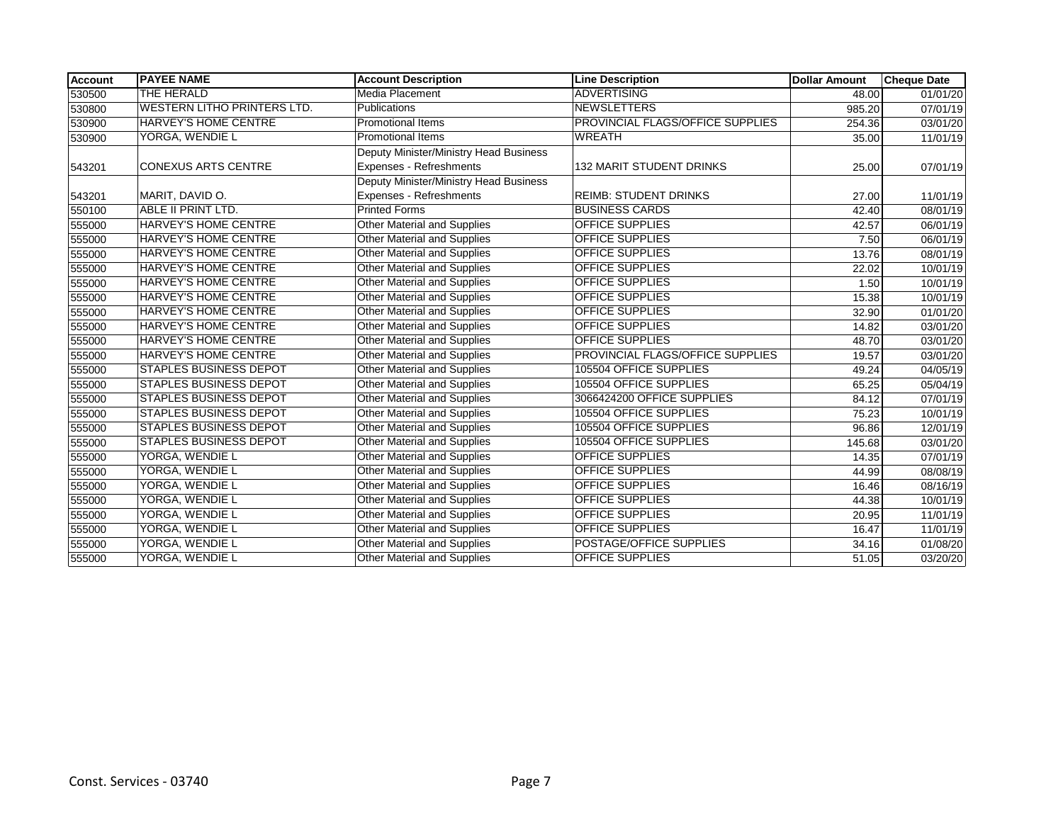| <b>Account</b> | <b>PAYEE NAME</b>                  | <b>Account Description</b>             | <b>Line Description</b>          | <b>Dollar Amount</b> | <b>Cheque Date</b> |
|----------------|------------------------------------|----------------------------------------|----------------------------------|----------------------|--------------------|
| 530500         | <b>THE HERALD</b>                  | <b>Media Placement</b>                 | <b>ADVERTISING</b>               | 48.00                | 01/01/20           |
| 530800         | <b>WESTERN LITHO PRINTERS LTD.</b> | <b>Publications</b>                    | <b>NEWSLETTERS</b>               | 985.20               | 07/01/19           |
| 530900         | <b>HARVEY'S HOME CENTRE</b>        | <b>Promotional Items</b>               | PROVINCIAL FLAGS/OFFICE SUPPLIES | 254.36               | 03/01/20           |
| 530900         | YORGA, WENDIE L                    | <b>Promotional Items</b>               | <b>WREATH</b>                    | 35.00                | 11/01/19           |
|                |                                    | Deputy Minister/Ministry Head Business |                                  |                      |                    |
| 543201         | <b>CONEXUS ARTS CENTRE</b>         | Expenses - Refreshments                | <b>132 MARIT STUDENT DRINKS</b>  | 25.00                | 07/01/19           |
|                |                                    | Deputy Minister/Ministry Head Business |                                  |                      |                    |
| 543201         | MARIT, DAVID O.                    | Expenses - Refreshments                | <b>REIMB: STUDENT DRINKS</b>     | 27.00                | 11/01/19           |
| 550100         | ABLE II PRINT LTD.                 | <b>Printed Forms</b>                   | <b>BUSINESS CARDS</b>            | 42.40                | 08/01/19           |
| 555000         | <b>HARVEY'S HOME CENTRE</b>        | <b>Other Material and Supplies</b>     | <b>OFFICE SUPPLIES</b>           | 42.57                | 06/01/19           |
| 555000         | <b>HARVEY'S HOME CENTRE</b>        | <b>Other Material and Supplies</b>     | <b>OFFICE SUPPLIES</b>           | 7.50                 | 06/01/19           |
| 555000         | <b>HARVEY'S HOME CENTRE</b>        | Other Material and Supplies            | <b>OFFICE SUPPLIES</b>           | 13.76                | 08/01/19           |
| 555000         | <b>HARVEY'S HOME CENTRE</b>        | <b>Other Material and Supplies</b>     | <b>OFFICE SUPPLIES</b>           | 22.02                | 10/01/19           |
| 555000         | <b>HARVEY'S HOME CENTRE</b>        | <b>Other Material and Supplies</b>     | <b>OFFICE SUPPLIES</b>           | 1.50                 | 10/01/19           |
| 555000         | <b>HARVEY'S HOME CENTRE</b>        | Other Material and Supplies            | OFFICE SUPPLIES                  | 15.38                | 10/01/19           |
| 555000         | <b>HARVEY'S HOME CENTRE</b>        | <b>Other Material and Supplies</b>     | <b>OFFICE SUPPLIES</b>           | 32.90                | 01/01/20           |
| 555000         | <b>HARVEY'S HOME CENTRE</b>        | Other Material and Supplies            | <b>OFFICE SUPPLIES</b>           | 14.82                | 03/01/20           |
| 555000         | <b>HARVEY'S HOME CENTRE</b>        | <b>Other Material and Supplies</b>     | <b>OFFICE SUPPLIES</b>           | 48.70                | 03/01/20           |
| 555000         | <b>HARVEY'S HOME CENTRE</b>        | <b>Other Material and Supplies</b>     | PROVINCIAL FLAGS/OFFICE SUPPLIES | 19.57                | 03/01/20           |
| 555000         | <b>STAPLES BUSINESS DEPOT</b>      | Other Material and Supplies            | 105504 OFFICE SUPPLIES           | 49.24                | 04/05/19           |
| 555000         | <b>STAPLES BUSINESS DEPOT</b>      | <b>Other Material and Supplies</b>     | 105504 OFFICE SUPPLIES           | 65.25                | 05/04/19           |
| 555000         | <b>STAPLES BUSINESS DEPOT</b>      | <b>Other Material and Supplies</b>     | 3066424200 OFFICE SUPPLIES       | 84.12                | 07/01/19           |
| 555000         | <b>STAPLES BUSINESS DEPOT</b>      | <b>Other Material and Supplies</b>     | 105504 OFFICE SUPPLIES           | 75.23                | 10/01/19           |
| 555000         | <b>STAPLES BUSINESS DEPOT</b>      | <b>Other Material and Supplies</b>     | 105504 OFFICE SUPPLIES           | 96.86                | 12/01/19           |
| 555000         | <b>STAPLES BUSINESS DEPOT</b>      | Other Material and Supplies            | 105504 OFFICE SUPPLIES           | 145.68               | 03/01/20           |
| 555000         | YORGA, WENDIE L                    | <b>Other Material and Supplies</b>     | <b>OFFICE SUPPLIES</b>           | 14.35                | 07/01/19           |
| 555000         | YORGA, WENDIE L                    | Other Material and Supplies            | <b>OFFICE SUPPLIES</b>           | 44.99                | 08/08/19           |
| 555000         | YORGA, WENDIE L                    | <b>Other Material and Supplies</b>     | <b>OFFICE SUPPLIES</b>           | 16.46                | 08/16/19           |
| 555000         | YORGA, WENDIE L                    | <b>Other Material and Supplies</b>     | OFFICE SUPPLIES                  | 44.38                | 10/01/19           |
| 555000         | YORGA, WENDIE L                    | Other Material and Supplies            | <b>OFFICE SUPPLIES</b>           | 20.95                | 11/01/19           |
| 555000         | <b>YORGA, WENDIE L</b>             | <b>Other Material and Supplies</b>     | <b>OFFICE SUPPLIES</b>           | 16.47                | 11/01/19           |
| 555000         | YORGA, WENDIE L                    | <b>Other Material and Supplies</b>     | POSTAGE/OFFICE SUPPLIES          | 34.16                | 01/08/20           |
| 555000         | YORGA, WENDIE L                    | <b>Other Material and Supplies</b>     | <b>OFFICE SUPPLIES</b>           | 51.05                | 03/20/20           |